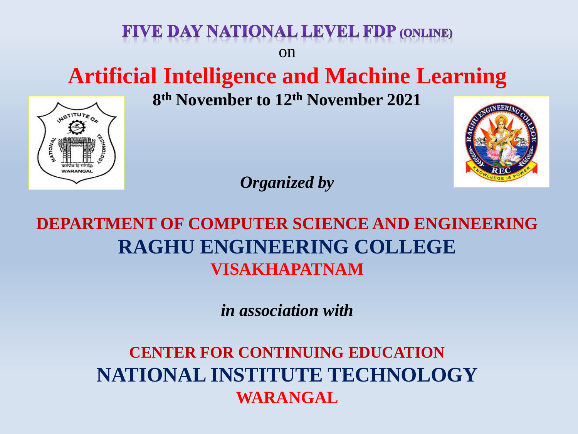# **Artificial Intelligence and Machine Learning**

on

VE DAY NATIONAL LEVEL FDP (ONLINE)

**8 th November to 12th November 2021**



*Organized by*

**DEPARTMENT OF COMPUTER SCIENCE AND ENGINEERING RAGHU ENGINEERING COLLEGE VISAKHAPATNAM**

*in association with*

**CENTER FOR CONTINUING EDUCATION NATIONAL INSTITUTE TECHNOLOGY WARANGAL**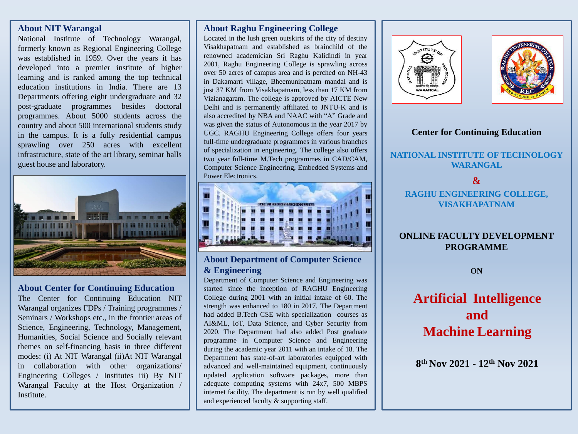#### **About NIT Warangal**

National Institute of Technology Warangal, formerly known as Regional Engineering College was established in 1959. Over the years it has developed into a premier institute of higher learning and is ranked among the top technical education institutions in India. There are 13 Departments offering eight undergraduate and 32 post-graduate programmes besides doctoral programmes. About 5000 students across the country and about 500 international students study in the campus. It is a fully residential campus sprawling over 250 acres with excellent infrastructure, state of the art library, seminar halls guest house and laboratory.



#### **About Center for Continuing Education**

The Center for Continuing Education NIT Warangal organizes FDPs / Training programmes / Seminars / Workshops etc., in the frontier areas of Science, Engineering, Technology, Management, Humanities, Social Science and Socially relevant themes on self-financing basis in three different modes: (i) At NIT Warangal (ii)At NIT Warangal in collaboration with other organizations/ Engineering Colleges / Institutes iii) By NIT Warangal Faculty at the Host Organization / Institute.

#### **About Raghu Engineering College**

Located in the lush green outskirts of the city of destiny Visakhapatnam and established as brainchild of the renowned academician Sri Raghu Kalidindi in year 2001, Raghu Engineering College is sprawling across over 50 acres of campus area and is perched on NH-43 in Dakamarri village, Bheemunipatnam mandal and is just 37 KM from Visakhapatnam, less than 17 KM from Vizianagaram. The college is approved by AICTE New Delhi and is permanently affiliated to JNTU-K and is also accredited by NBA and NAAC with "A" Grade and was given the status of Autonomous in the year 2017 by UGC. RAGHU Engineering College offers four years full-time undergraduate programmes in various branches of specialization in engineering. The college also offers two year full-time M.Tech programmes in CAD/CAM, Computer Science Engineering, Embedded Systems and Power Electronics.



#### **About Department of Computer Science & Engineering**

Department of Computer Science and Engineering was started since the inception of RAGHU Engineering College during 2001 with an initial intake of 60. The strength was enhanced to 180 in 2017. The Department had added B.Tech CSE with specialization courses as AI&ML, IoT, Data Science, and Cyber Security from 2020. The Department had also added Post graduate programme in Computer Science and Engineering during the academic year 2011 with an intake of 18. The Department has state-of-art laboratories equipped with advanced and well-maintained equipment, continuously updated application software packages, more than adequate computing systems with 24x7, 500 MBPS internet facility. The department is run by well qualified and experienced faculty & supporting staff.





#### **Center for Continuing Education**

## **NATIONAL INSTITUTE OF TECHNOLOGY WARANGAL**

#### **&**

#### **RAGHU ENGINEERING COLLEGE, VISAKHAPATNAM**

# **ONLINE FACULTY DEVELOPMENT PROGRAMME**

# **ON**

# **Artificial Intelligence and Machine Learning**

**8 th Nov 2021 - 12th Nov 2021**